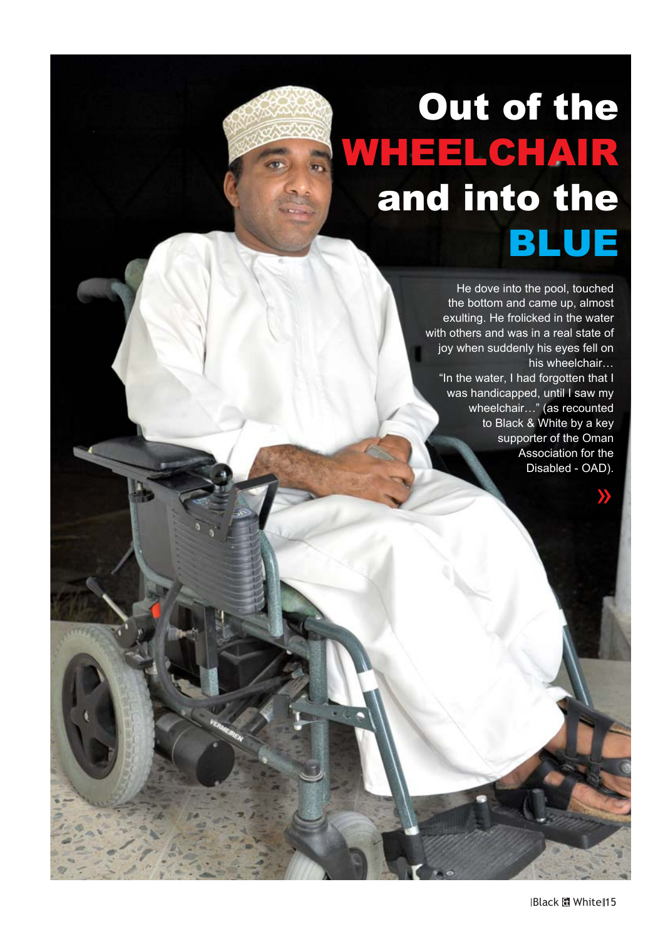## Out of the WHEELCHAIR and into the BLUE

He dove into the pool, touched the bottom and came up, almost exulting. He frolicked in the water with others and was in a real state of joy when suddenly his eyes fell on his wheelchair… "In the water, I had forgotten that I was handicapped, until I saw my wheelchair…" (as recounted to Black & White by a key supporter of the Oman Association for the Disabled - OAD).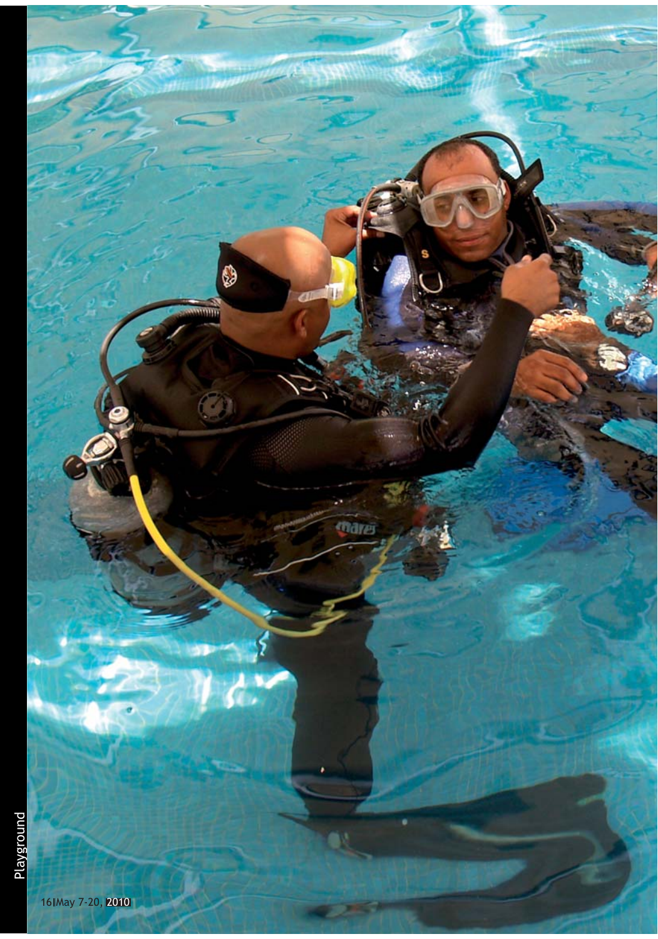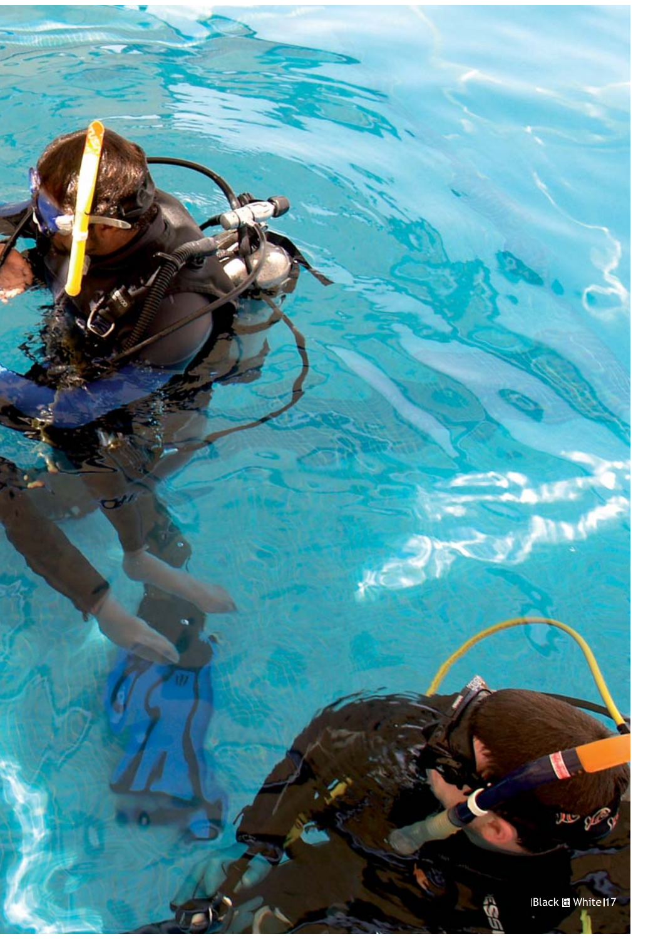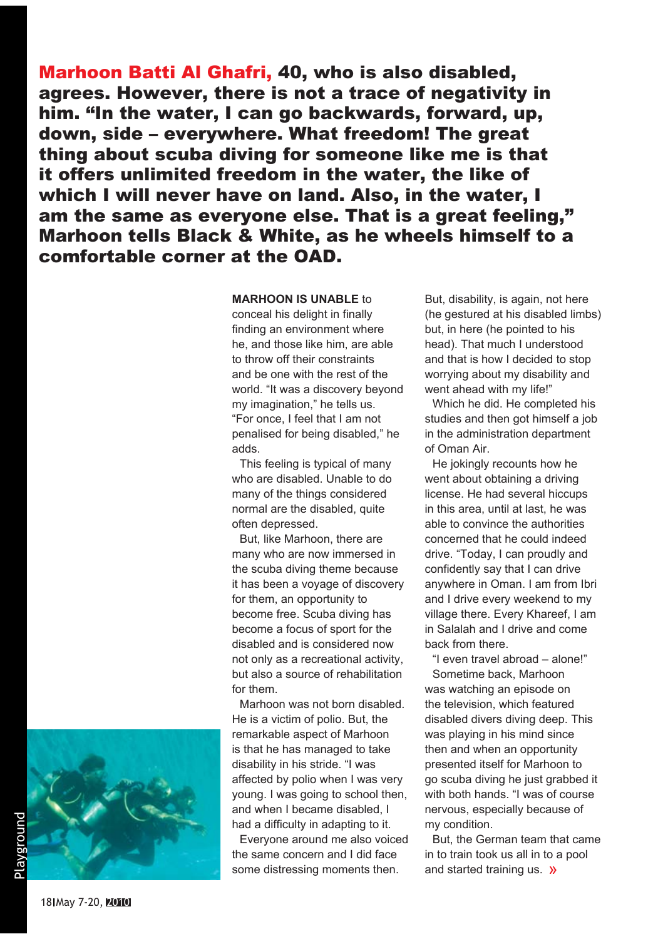Marhoon Batti Al Ghafri, 40, who is also disabled, agrees. However, there is not a trace of negativity in him. "In the water, I can go backwards, forward, up, down, side – everywhere. What freedom! The great thing about scuba diving for someone like me is that it offers unlimited freedom in the water, the like of which I will never have on land. Also, in the water, I am the same as everyone else. That is a great feeling," Marhoon tells Black & White, as he wheels himself to a comfortable corner at the OAD.

## **MARHOON IS UNABLE** to

conceal his delight in finally finding an environment where he, and those like him, are able to throw off their constraints and be one with the rest of the world. "It was a discovery beyond my imagination," he tells us. "For once, I feel that I am not penalised for being disabled," he adds.

This feeling is typical of many who are disabled. Unable to do many of the things considered normal are the disabled, quite often depressed.

But, like Marhoon, there are many who are now immersed in the scuba diving theme because it has been a voyage of discovery for them, an opportunity to become free. Scuba diving has become a focus of sport for the disabled and is considered now not only as a recreational activity, but also a source of rehabilitation for them.

Marhoon was not born disabled. He is a victim of polio. But, the remarkable aspect of Marhoon is that he has managed to take disability in his stride. "I was affected by polio when I was very young. I was going to school then, and when I became disabled, I had a difficulty in adapting to it.

Everyone around me also voiced the same concern and I did face some distressing moments then.

But, disability, is again, not here (he gestured at his disabled limbs) but, in here (he pointed to his head). That much I understood and that is how I decided to stop worrying about my disability and went ahead with my life!"

Which he did. He completed his studies and then got himself a job in the administration department of Oman Air.

He jokingly recounts how he went about obtaining a driving license. He had several hiccups in this area, until at last, he was able to convince the authorities concerned that he could indeed drive. "Today, I can proudly and confidently say that I can drive anywhere in Oman. I am from Ibri and I drive every weekend to my village there. Every Khareef, I am in Salalah and I drive and come back from there.

"I even travel abroad – alone!" Sometime back, Marhoon was watching an episode on the television, which featured disabled divers diving deep. This was playing in his mind since then and when an opportunity presented itself for Marhoon to go scuba diving he just grabbed it with both hands. "I was of course nervous, especially because of my condition.

But, the German team that came in to train took us all in to a pool and started training us.  $\mathcal{V}$ 



18 May 7-20, 2010